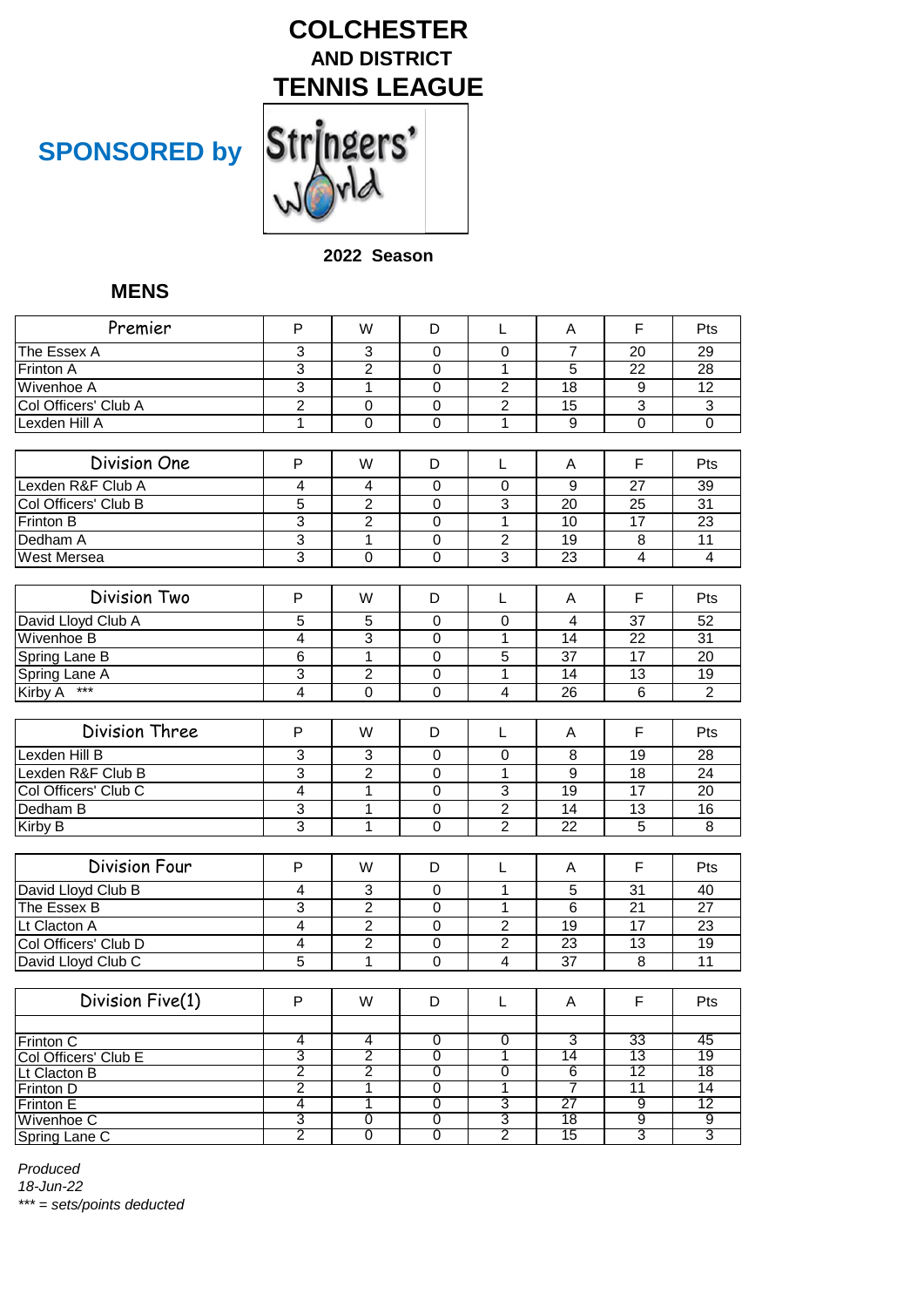

# **SPONSORED by**

#### **2022 Season**

### **MENS**

| Premier                              | P                   | W                   | D                   | L                              | A                   | F                     | Pts                   |
|--------------------------------------|---------------------|---------------------|---------------------|--------------------------------|---------------------|-----------------------|-----------------------|
|                                      |                     |                     |                     |                                |                     |                       |                       |
| The Essex A<br>Frinton A             | 3<br>$\overline{3}$ | 3<br>$\overline{2}$ | $\mathbf 0$         | $\mathbf 0$                    | $\overline{7}$<br>5 | 20<br>$\overline{22}$ | 29<br>$\overline{28}$ |
|                                      | 3                   |                     | $\mathbf 0$         | 1<br>$\overline{2}$            |                     |                       | $\overline{12}$       |
| Wivenhoe A<br>Col Officers' Club A   | $\overline{c}$      | $\mathbf 1$         | 0                   |                                | 18<br>15            | 9<br>3                |                       |
| Lexden Hill A                        | $\mathbf{1}$        | 0<br>0              | 0<br>$\overline{0}$ | $\overline{c}$<br>$\mathbf{1}$ | $\overline{9}$      | $\overline{0}$        | 3<br>$\overline{0}$   |
|                                      |                     |                     |                     |                                |                     |                       |                       |
| Division One                         | P                   | W                   | D                   | L                              | Α                   | F                     | Pts                   |
| Lexden R&F Club A                    | 4                   | 4                   | $\mathbf 0$         | $\mathbf 0$                    | 9                   | 27                    | 39                    |
| Col Officers' Club B                 | $\overline{5}$      | $\overline{2}$      | $\mathbf 0$         | 3                              | $\overline{20}$     | 25                    | $\overline{31}$       |
| Frinton B                            | $\overline{3}$      | $\overline{2}$      | $\overline{0}$      | $\overline{1}$                 | 10                  | $\overline{17}$       | $\overline{23}$       |
| Dedham A                             | 3                   | $\mathbf{1}$        | $\mathbf 0$         | $\overline{2}$                 | 19                  | 8                     | 11                    |
| <b>West Mersea</b>                   | $\overline{3}$      | $\Omega$            | $\overline{0}$      | 3                              | 23                  | $\overline{4}$        | $\overline{4}$        |
|                                      |                     |                     |                     |                                |                     |                       |                       |
| Division Two                         | P                   | W                   | D                   | L                              | A                   | F                     | Pts                   |
| David Lloyd Club A                   | 5                   | 5                   | $\mathbf 0$         | $\mathbf 0$                    | 4                   | 37                    | 52                    |
| <b>Wivenhoe B</b>                    | 4                   | 3                   | $\mathbf 0$         | 1                              | 14                  | 22                    | 31                    |
| Spring Lane B                        | 6                   | $\mathbf{1}$        | 0                   | 5                              | 37                  | 17                    | 20                    |
| Spring Lane A                        | 3                   | $\overline{2}$      | 0                   | 1                              | 14                  | 13                    | 19                    |
| $***$<br><b>Kirby A</b>              | $\overline{4}$      | $\mathbf 0$         | $\Omega$            | 4                              | 26                  | 6                     | $\overline{2}$        |
|                                      |                     |                     |                     |                                |                     |                       |                       |
| Division Three                       | P                   | W                   | D                   | L                              | A                   | F                     | Pts                   |
| Lexden Hill B                        | 3                   | 3                   | $\mathbf 0$         | $\mathbf 0$                    | 8                   | 19                    | $\overline{28}$       |
| Lexden R&F Club B                    | $\overline{3}$      | $\overline{2}$      | $\mathbf 0$         | 1                              | $\overline{9}$      | 18                    | 24                    |
| Col Officers' Club C                 | 4                   | $\mathbf 1$         | $\mathbf 0$         | 3                              | $\overline{19}$     | $\overline{17}$       | $\overline{20}$       |
| Dedham B                             | 3                   | 1                   | $\mathbf 0$         | $\overline{2}$                 | 14                  | 13                    | 16                    |
| Kirby B                              | $\overline{3}$      | $\mathbf{1}$        | $\overline{0}$      | $\overline{2}$                 | $\overline{22}$     | 5                     | 8                     |
|                                      |                     |                     |                     |                                |                     |                       |                       |
| <b>Division Four</b>                 | P                   | W                   | D                   | L                              | A                   | F                     | Pts                   |
| David Lloyd Club B                   | 4                   | 3                   | $\mathbf 0$         | 1                              | 5                   | 31                    | 40                    |
| The Essex B                          | 3                   | $\boldsymbol{2}$    | 0                   | 1                              | 6                   | 21                    | 27                    |
| Lt Clacton A                         | $\overline{4}$      | $\overline{2}$      | $\overline{0}$      | $\overline{2}$                 | $\overline{19}$     | $\overline{17}$       | $\overline{23}$       |
| Col Officers' Club D                 | $\overline{4}$      | $\overline{2}$      | $\overline{0}$      | $\overline{2}$                 | $\overline{23}$     | 13                    | $\overline{19}$       |
| David Lloyd Club C                   | $\overline{5}$      | 1                   | $\overline{0}$      | $\overline{4}$                 | 37                  | 8                     | 11                    |
|                                      |                     |                     |                     |                                |                     |                       |                       |
| Division Five(1)                     | P                   | W                   | D                   | L                              | Α                   | F                     | Pts                   |
|                                      |                     |                     |                     |                                |                     |                       |                       |
| <b>Frinton C</b>                     | 4<br>3              | 4<br>2              | $\overline{0}$<br>0 | $\overline{0}$<br>1            | 3<br>14             | 33<br>13              | 45<br>19              |
| Col Officers' Club E<br>Lt Clacton B | $\overline{2}$      | $\overline{2}$      | 0                   | 0                              | $6\overline{6}$     | 12                    | 18                    |
| <b>Frinton D</b>                     | 2                   | $\overline{1}$      | $\overline{0}$      | $\overline{1}$                 | 7                   | 11                    | 14                    |
| <b>Frinton E</b>                     | 4                   | 1                   | 0                   | 3                              | 27                  | 9                     | 12                    |
| Wivenhoe C                           | 3                   | 0                   | 0                   | 3                              | 18                  | 9                     | 9                     |
| Spring Lane C                        | $\overline{2}$      | $\overline{0}$      | $\overline{0}$      | $\overline{2}$                 | 15                  | 3                     | 3                     |

*Produced*

*18-Jun-22*

*\*\*\* = sets/points deducted*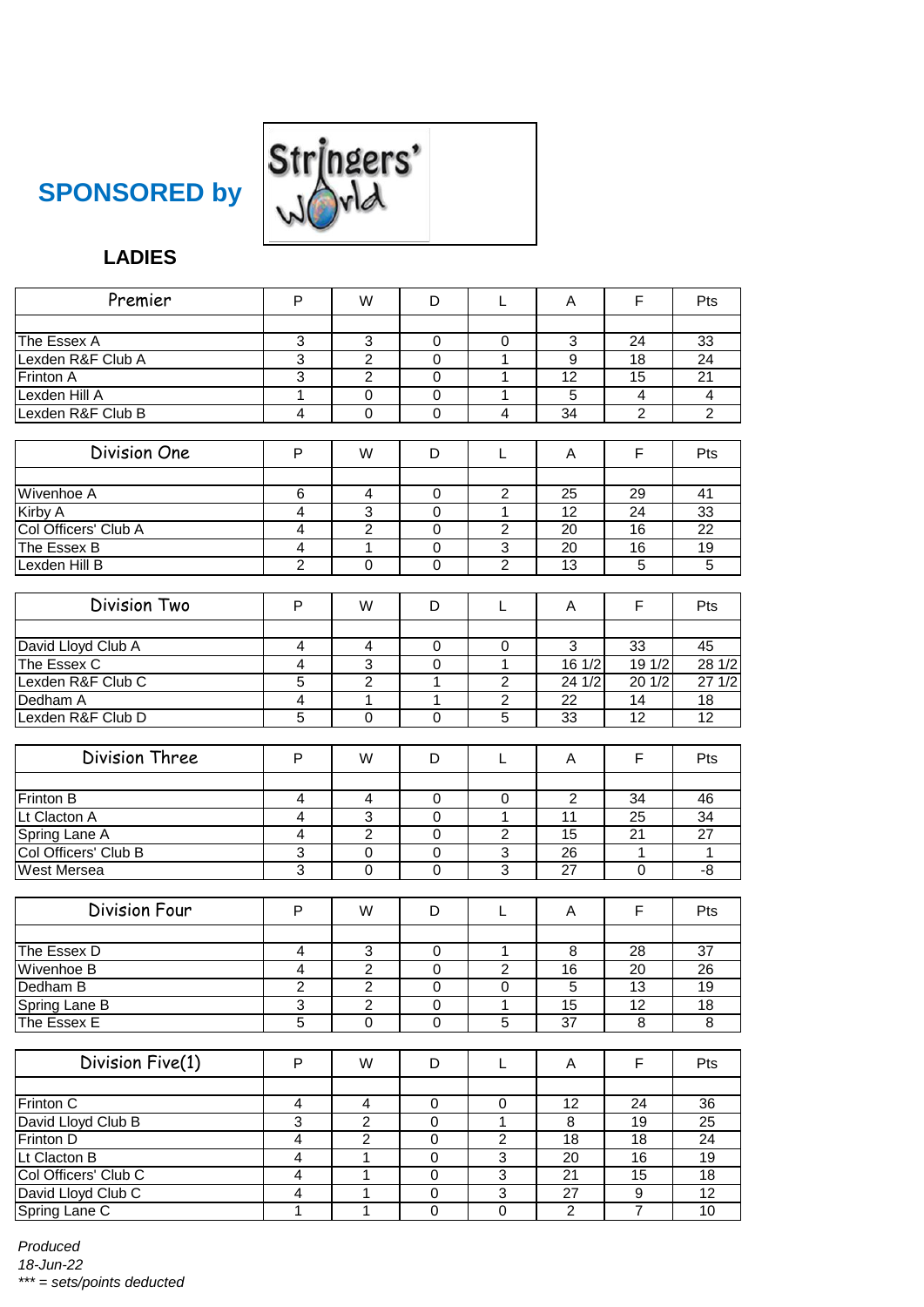



# **LADIES**

| Premier                           | P                       | W                                | D                             | Г                             | A               | F                     | Pts                   |
|-----------------------------------|-------------------------|----------------------------------|-------------------------------|-------------------------------|-----------------|-----------------------|-----------------------|
| The Essex A                       |                         | 3                                | $\mathbf 0$                   |                               |                 | 24                    | 33                    |
| Lexden R&F Club A                 | 3<br>3                  | $\overline{2}$                   | $\mathbf 0$                   | $\mathbf 0$<br>$\overline{1}$ | 3<br>9          | 18                    | $\overline{24}$       |
| Frinton A                         | 3                       | $\overline{2}$                   | $\mathbf 0$                   | 1                             | 12              | 15                    | 21                    |
| Lexden Hill A                     | 1                       | 0                                | 0                             | 1                             | 5               | 4                     | 4                     |
| Lexden R&F Club B                 | $\overline{\mathbf{4}}$ | $\mathbf 0$                      | $\mathbf 0$                   | 4                             | 34              | $\overline{2}$        | $\overline{2}$        |
|                                   |                         |                                  |                               |                               |                 |                       |                       |
| Division One                      | P                       | W                                | D                             | Г                             | A               | F                     | Pts                   |
| Wivenhoe A                        | 6                       | 4                                | 0                             | $\overline{2}$                | 25              | 29                    | 41                    |
| Kirby A                           | 4                       | 3                                | $\mathbf 0$                   | 1                             | $\overline{12}$ | 24                    | 33                    |
| Col Officers' Club A              | 4                       | $\overline{2}$                   | $\mathbf 0$                   | $\overline{2}$                | $\overline{20}$ | 16                    | $\overline{22}$       |
| The Essex B                       | 4                       | 1                                | $\mathbf 0$                   | $\overline{3}$                | $\overline{20}$ | 16                    | 19                    |
| Lexden Hill B                     | $\overline{2}$          | $\mathbf 0$                      | $\Omega$                      | $\overline{2}$                | $\overline{13}$ | 5                     | 5                     |
|                                   |                         |                                  |                               |                               |                 |                       |                       |
| Division Two                      | P                       | W                                | D                             | L                             | A               | F                     | Pts                   |
|                                   |                         |                                  |                               |                               | 3               | 33                    |                       |
| David Lloyd Club A<br>The Essex C | 4<br>4                  | 4<br>3                           | 0<br>$\mathbf 0$              | 0<br>$\mathbf{1}$             | 16 1/2          | 191/2                 | 45<br>281/2           |
| Lexden R&F Club C                 | $\overline{5}$          | $\overline{2}$                   | 1                             | $\overline{2}$                | 241/2           | 20 1/2                | 271/2                 |
| Dedham A                          | $\overline{4}$          | 1                                | 1                             | $\boldsymbol{2}$              | 22              | 14                    | 18                    |
| Lexden R&F Club D                 | 5                       | 0                                | $\mathbf 0$                   | 5                             | 33              | 12                    | $\overline{12}$       |
|                                   |                         |                                  |                               |                               |                 |                       |                       |
| Division Three                    | P                       | W                                | D                             | L                             | A               | F                     | <b>Pts</b>            |
| Frinton B                         | 4                       | 4                                | 0                             | 0                             | $\overline{2}$  | 34                    | 46                    |
| Lt Clacton A                      | 4                       | 3                                | $\mathbf 0$                   | $\mathbf{1}$                  | 11              | 25                    | 34                    |
| Spring Lane A                     | 4                       | $\overline{2}$                   | $\mathbf 0$                   | $\overline{2}$                | 15              | 21                    | $\overline{27}$       |
| Col Officers' Club B              | 3                       | 0                                | 0                             | $\ensuremath{\mathsf{3}}$     | 26              | 1                     | $\mathbf{1}$          |
| <b>West Mersea</b>                | $\overline{3}$          | $\mathbf 0$                      | $\mathbf 0$                   | 3                             | 27              | $\mathbf 0$           | $-8$                  |
|                                   |                         |                                  |                               |                               |                 |                       |                       |
| <b>Division Four</b>              | P                       | W                                | D                             | L                             | A               | F                     | Pts                   |
|                                   |                         |                                  |                               |                               |                 |                       |                       |
| The Essex D<br>Wivenhoe B         | 4<br>$\overline{4}$     | 3<br>$\overline{2}$              | 0<br>$\overline{0}$           | 1<br>$\overline{2}$           | 8<br>16         | 28<br>$\overline{20}$ | 37<br>$\overline{26}$ |
|                                   |                         |                                  |                               |                               |                 |                       |                       |
| Dedham B                          | $\overline{c}$<br>3     | $\overline{c}$<br>$\overline{2}$ | 0                             | 0                             | 5<br>15         | 13<br>$\overline{12}$ | 19                    |
| Spring Lane B<br>The Essex E      | $\overline{5}$          | $\overline{0}$                   | $\mathbf 0$<br>$\overline{0}$ | 1<br>$\overline{5}$           | $\overline{37}$ | 8                     | 18<br>8               |
|                                   |                         |                                  |                               |                               |                 |                       |                       |
| Division Five(1)                  | P                       | W                                | D                             | L                             | A               | F.                    | Pts                   |
|                                   |                         |                                  |                               |                               |                 |                       |                       |
| Frinton C                         | 4                       | 4                                | 0                             | 0                             | 12              | 24                    | 36                    |
| David Lloyd Club B                | 3                       | $\overline{2}$                   | 0                             | $\mathbf{1}$                  | 8               | 19                    | 25                    |
| Frinton D                         | 4                       | $\overline{2}$                   | $\boldsymbol{0}$              | $\overline{c}$                | 18              | 18                    | 24                    |
| Lt Clacton B                      | $\overline{4}$          | 1                                | $\overline{0}$                | $\overline{3}$                | $\overline{20}$ | 16                    | 19                    |
| Col Officers' Club C              | $\overline{4}$          | $\mathbf{1}$                     | $\overline{0}$                | $\overline{3}$                | $\overline{21}$ | 15                    | 18                    |
| David Lloyd Club C                | 4                       | $\overline{1}$                   | $\boldsymbol{0}$              | $\overline{3}$                | 27              | 9                     | $\overline{12}$       |
| Spring Lane C                     | 1                       | $\overline{1}$                   | $\overline{0}$                | $\overline{0}$                | $\overline{2}$  | $\overline{7}$        | 10                    |

*Produced 18-Jun-22 \*\*\* = sets/points deducted*